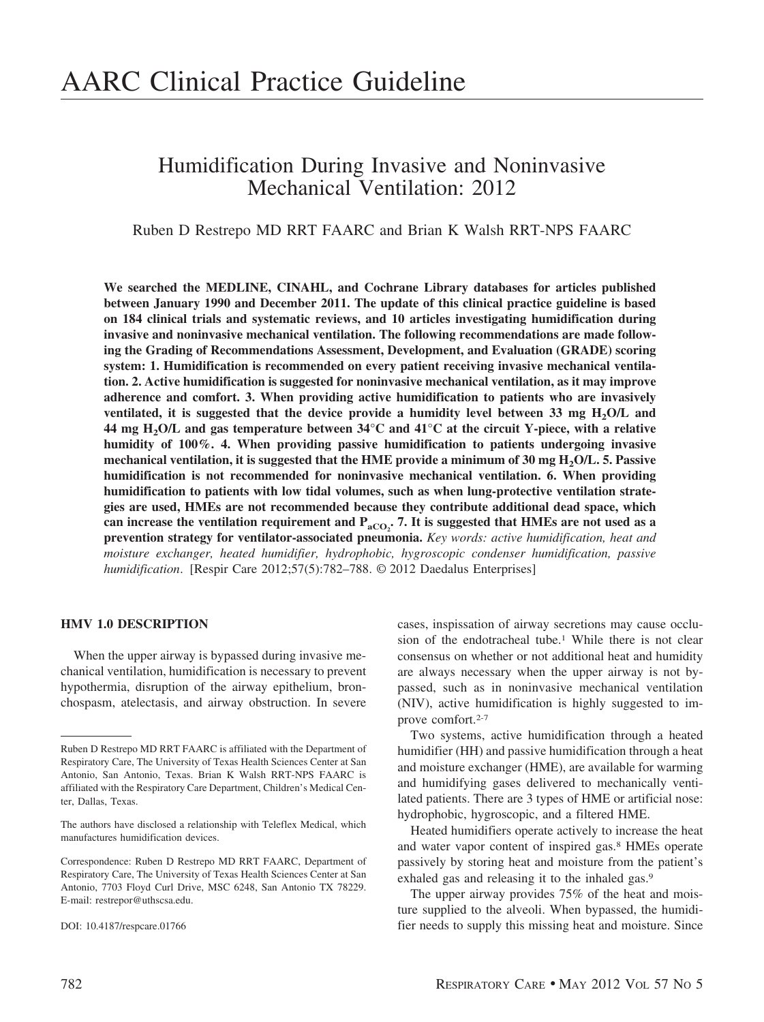# Humidification During Invasive and Noninvasive Mechanical Ventilation: 2012

Ruben D Restrepo MD RRT FAARC and Brian K Walsh RRT-NPS FAARC

**We searched the MEDLINE, CINAHL, and Cochrane Library databases for articles published between January 1990 and December 2011. The update of this clinical practice guideline is based on 184 clinical trials and systematic reviews, and 10 articles investigating humidification during invasive and noninvasive mechanical ventilation. The following recommendations are made following the Grading of Recommendations Assessment, Development, and Evaluation (GRADE) scoring system: 1. Humidification is recommended on every patient receiving invasive mechanical ventilation. 2. Active humidification is suggested for noninvasive mechanical ventilation, as it may improve adherence and comfort. 3. When providing active humidification to patients who are invasively** ventilated, it is suggested that the device provide a humidity level between 33 mg H<sub>2</sub>O/L and **44 mg H2O/L and gas temperature between 34°C and 41°C at the circuit Y-piece, with a relative humidity of 100%. 4. When providing passive humidification to patients undergoing invasive** mechanical ventilation, it is suggested that the HME provide a minimum of 30 mg H<sub>2</sub>O/L. 5. Passive **humidification is not recommended for noninvasive mechanical ventilation. 6. When providing humidification to patients with low tidal volumes, such as when lung-protective ventilation strategies are used, HMEs are not recommended because they contribute additional dead space, which** can increase the ventilation requirement and  $P_{\text{aCO}_2}$ . 7. It is suggested that HMEs are not used as a **prevention strategy for ventilator-associated pneumonia.** *Key words: active humidification, heat and moisture exchanger, heated humidifier, hydrophobic, hygroscopic condenser humidification, passive humidification*. [Respir Care 2012;57(5):782–788. © 2012 Daedalus Enterprises]

#### **HMV 1.0 DESCRIPTION**

When the upper airway is bypassed during invasive mechanical ventilation, humidification is necessary to prevent hypothermia, disruption of the airway epithelium, bronchospasm, atelectasis, and airway obstruction. In severe cases, inspissation of airway secretions may cause occlusion of the endotracheal tube.<sup>1</sup> While there is not clear consensus on whether or not additional heat and humidity are always necessary when the upper airway is not bypassed, such as in noninvasive mechanical ventilation (NIV), active humidification is highly suggested to improve comfort.<sup>2-7</sup>

Two systems, active humidification through a heated humidifier (HH) and passive humidification through a heat and moisture exchanger (HME), are available for warming and humidifying gases delivered to mechanically ventilated patients. There are 3 types of HME or artificial nose: hydrophobic, hygroscopic, and a filtered HME.

Heated humidifiers operate actively to increase the heat and water vapor content of inspired gas.8 HMEs operate passively by storing heat and moisture from the patient's exhaled gas and releasing it to the inhaled gas.<sup>9</sup>

The upper airway provides 75% of the heat and moisture supplied to the alveoli. When bypassed, the humidifier needs to supply this missing heat and moisture. Since

Ruben D Restrepo MD RRT FAARC is affiliated with the Department of Respiratory Care, The University of Texas Health Sciences Center at San Antonio, San Antonio, Texas. Brian K Walsh RRT-NPS FAARC is affiliated with the Respiratory Care Department, Children's Medical Center, Dallas, Texas.

The authors have disclosed a relationship with Teleflex Medical, which manufactures humidification devices.

Correspondence: Ruben D Restrepo MD RRT FAARC, Department of Respiratory Care, The University of Texas Health Sciences Center at San Antonio, 7703 Floyd Curl Drive, MSC 6248, San Antonio TX 78229. E-mail: restrepor@uthscsa.edu.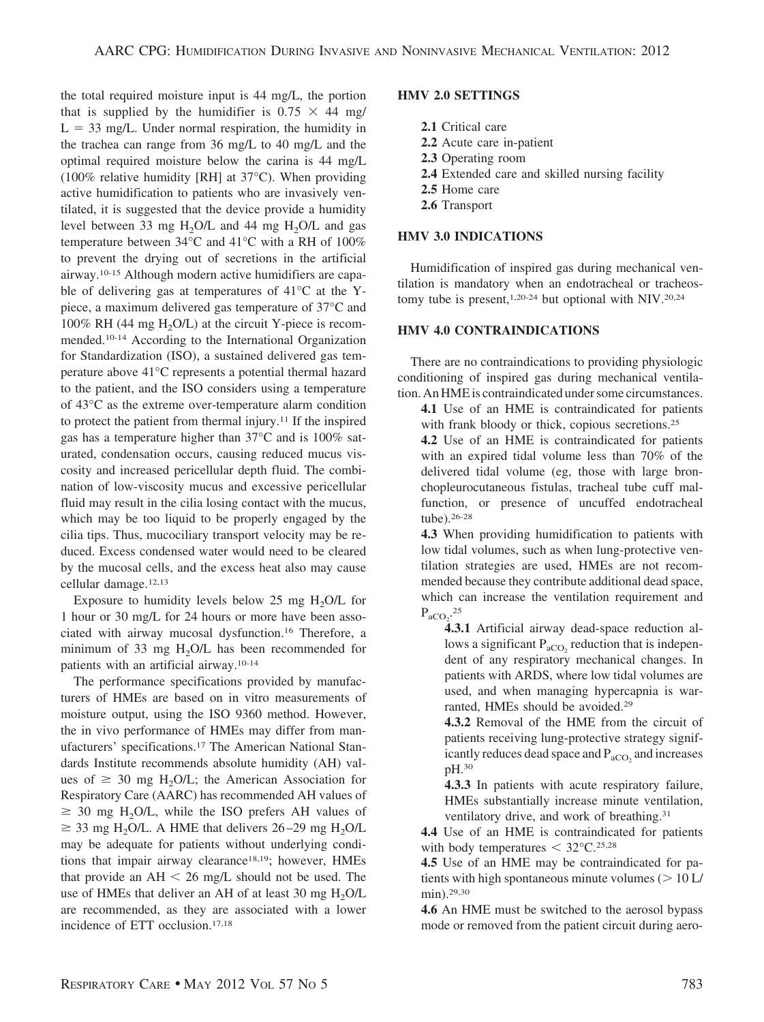the total required moisture input is 44 mg/L, the portion that is supplied by the humidifier is  $0.75 \times 44$  mg/  $L = 33$  mg/L. Under normal respiration, the humidity in the trachea can range from 36 mg/L to 40 mg/L and the optimal required moisture below the carina is 44 mg/L (100% relative humidity [RH] at 37°C). When providing active humidification to patients who are invasively ventilated, it is suggested that the device provide a humidity level between 33 mg  $H_2O/L$  and 44 mg  $H_2O/L$  and gas temperature between 34°C and 41°C with a RH of 100% to prevent the drying out of secretions in the artificial airway.10-15 Although modern active humidifiers are capable of delivering gas at temperatures of 41°C at the Ypiece, a maximum delivered gas temperature of 37°C and  $100\%$  RH (44 mg H<sub>2</sub>O/L) at the circuit Y-piece is recommended.10-14 According to the International Organization for Standardization (ISO), a sustained delivered gas temperature above 41°C represents a potential thermal hazard to the patient, and the ISO considers using a temperature of 43°C as the extreme over-temperature alarm condition to protect the patient from thermal injury.11 If the inspired gas has a temperature higher than 37°C and is 100% saturated, condensation occurs, causing reduced mucus viscosity and increased pericellular depth fluid. The combination of low-viscosity mucus and excessive pericellular fluid may result in the cilia losing contact with the mucus, which may be too liquid to be properly engaged by the cilia tips. Thus, mucociliary transport velocity may be reduced. Excess condensed water would need to be cleared by the mucosal cells, and the excess heat also may cause cellular damage.12,13

Exposure to humidity levels below 25 mg  $H_2O/L$  for 1 hour or 30 mg/L for 24 hours or more have been associated with airway mucosal dysfunction.16 Therefore, a minimum of 33 mg  $H<sub>2</sub>O/L$  has been recommended for patients with an artificial airway.10-14

The performance specifications provided by manufacturers of HMEs are based on in vitro measurements of moisture output, using the ISO 9360 method. However, the in vivo performance of HMEs may differ from manufacturers' specifications.17 The American National Standards Institute recommends absolute humidity (AH) values of  $\geq$  30 mg H<sub>2</sub>O/L; the American Association for Respiratory Care (AARC) has recommended AH values of  $\geq$  30 mg H<sub>2</sub>O/L, while the ISO prefers AH values of  $\geq$  33 mg H<sub>2</sub>O/L. A HME that delivers 26–29 mg H<sub>2</sub>O/L may be adequate for patients without underlying conditions that impair airway clearance<sup>18,19</sup>; however, HMEs that provide an  $AH < 26$  mg/L should not be used. The use of HMEs that deliver an AH of at least 30 mg  $H_2O/L$ are recommended, as they are associated with a lower incidence of ETT occlusion.17,18

#### **HMV 2.0 SETTINGS**

- **2.1** Critical care
- **2.2** Acute care in-patient
- **2.3** Operating room
- **2.4** Extended care and skilled nursing facility
- **2.5** Home care
- **2.6** Transport

### **HMV 3.0 INDICATIONS**

Humidification of inspired gas during mechanical ventilation is mandatory when an endotracheal or tracheostomy tube is present,<sup>1,20-24</sup> but optional with NIV.<sup>20,24</sup>

#### **HMV 4.0 CONTRAINDICATIONS**

There are no contraindications to providing physiologic conditioning of inspired gas during mechanical ventilation. An HME is contraindicated under some circumstances.

**4.1** Use of an HME is contraindicated for patients with frank bloody or thick, copious secretions.<sup>25</sup>

**4.2** Use of an HME is contraindicated for patients with an expired tidal volume less than 70% of the delivered tidal volume (eg, those with large bronchopleurocutaneous fistulas, tracheal tube cuff malfunction, or presence of uncuffed endotracheal tube).26-28

**4.3** When providing humidification to patients with low tidal volumes, such as when lung-protective ventilation strategies are used, HMEs are not recommended because they contribute additional dead space, which can increase the ventilation requirement and  $P_{aCO_2}$ <sup>25</sup>

**4.3.1** Artificial airway dead-space reduction allows a significant  $P_{aCO_2}$  reduction that is independent of any respiratory mechanical changes. In patients with ARDS, where low tidal volumes are used, and when managing hypercapnia is warranted, HMEs should be avoided.29

**4.3.2** Removal of the HME from the circuit of patients receiving lung-protective strategy significantly reduces dead space and  $P_{aCO_2}$  and increases pH.30

**4.3.3** In patients with acute respiratory failure, HMEs substantially increase minute ventilation, ventilatory drive, and work of breathing.<sup>31</sup>

**4.4** Use of an HME is contraindicated for patients with body temperatures  $<$  32 $\degree$ C.<sup>25,28</sup>

**4.5** Use of an HME may be contraindicated for patients with high spontaneous minute volumes  $(> 10 L/$ min).<sup>29,30</sup>

**4.6** An HME must be switched to the aerosol bypass mode or removed from the patient circuit during aero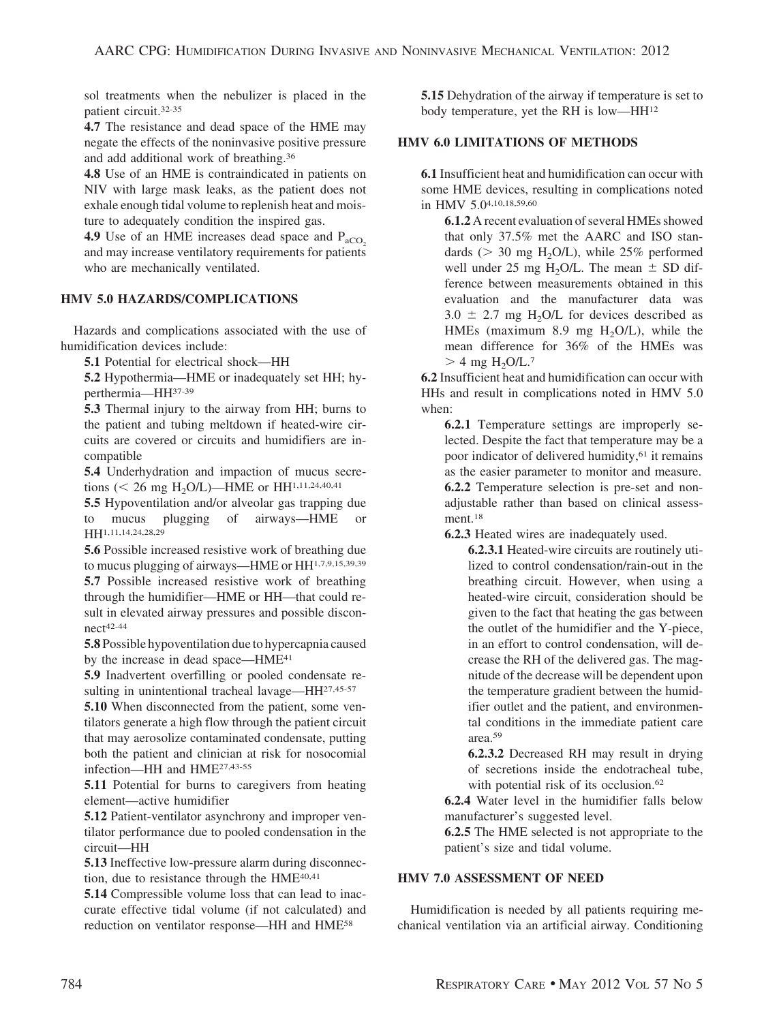sol treatments when the nebulizer is placed in the patient circuit.32-35

**4.7** The resistance and dead space of the HME may negate the effects of the noninvasive positive pressure and add additional work of breathing.36

**4.8** Use of an HME is contraindicated in patients on NIV with large mask leaks, as the patient does not exhale enough tidal volume to replenish heat and moisture to adequately condition the inspired gas.

**4.9** Use of an HME increases dead space and  $P_{aCO}$ . and may increase ventilatory requirements for patients who are mechanically ventilated.

# **HMV 5.0 HAZARDS/COMPLICATIONS**

Hazards and complications associated with the use of humidification devices include:

**5.1** Potential for electrical shock—HH

**5.2** Hypothermia—HME or inadequately set HH; hyperthermia—HH37-39

**5.3** Thermal injury to the airway from HH; burns to the patient and tubing meltdown if heated-wire circuits are covered or circuits and humidifiers are incompatible

**5.4** Underhydration and impaction of mucus secretions (< 26 mg H<sub>2</sub>O/L)—HME or HH<sup>1,11,24,40,41</sub></sup>

**5.5** Hypoventilation and/or alveolar gas trapping due to mucus plugging of airways—HME or HH<sup>1,11,14,24,28,29</sup>

**5.6** Possible increased resistive work of breathing due to mucus plugging of airways—HME or HH1,7,9,15,39,39

**5.7** Possible increased resistive work of breathing through the humidifier—HME or HH—that could result in elevated airway pressures and possible discon $nect$ <sup>42-44</sup>

**5.8** Possible hypoventilation due to hypercapnia caused by the increase in dead space—HME<sup>41</sup>

**5.9** Inadvertent overfilling or pooled condensate resulting in unintentional tracheal lavage—HH<sup>27,45-57</sup>

**5.10** When disconnected from the patient, some ventilators generate a high flow through the patient circuit that may aerosolize contaminated condensate, putting both the patient and clinician at risk for nosocomial infection—HH and HME27,43-55

**5.11** Potential for burns to caregivers from heating element—active humidifier

**5.12** Patient-ventilator asynchrony and improper ventilator performance due to pooled condensation in the circuit—HH

**5.13** Ineffective low-pressure alarm during disconnection, due to resistance through the HME<sup>40,41</sup>

**5.14** Compressible volume loss that can lead to inaccurate effective tidal volume (if not calculated) and reduction on ventilator response—HH and HME58

**5.15** Dehydration of the airway if temperature is set to body temperature, yet the RH is low—HH12

# **HMV 6.0 LIMITATIONS OF METHODS**

**6.1** Insufficient heat and humidification can occur with some HME devices, resulting in complications noted in HMV 5.04,10,18,59,60

**6.1.2** A recent evaluation of several HMEs showed that only 37.5% met the AARC and ISO standards ( $>$  30 mg H<sub>2</sub>O/L), while 25% performed well under 25 mg H<sub>2</sub>O/L. The mean  $\pm$  SD difference between measurements obtained in this evaluation and the manufacturer data was  $3.0 \pm 2.7$  mg H<sub>2</sub>O/L for devices described as HMEs (maximum 8.9 mg  $H<sub>2</sub>O/L$ ), while the mean difference for 36% of the HMEs was  $> 4$  mg H<sub>2</sub>O/L.<sup>7</sup>

**6.2** Insufficient heat and humidification can occur with HHs and result in complications noted in HMV 5.0 when:

**6.2.1** Temperature settings are improperly selected. Despite the fact that temperature may be a poor indicator of delivered humidity,<sup>61</sup> it remains as the easier parameter to monitor and measure. **6.2.2** Temperature selection is pre-set and nonadjustable rather than based on clinical assessment.<sup>18</sup>

**6.2.3** Heated wires are inadequately used.

**6.2.3.1** Heated-wire circuits are routinely utilized to control condensation/rain-out in the breathing circuit. However, when using a heated-wire circuit, consideration should be given to the fact that heating the gas between the outlet of the humidifier and the Y-piece, in an effort to control condensation, will decrease the RH of the delivered gas. The magnitude of the decrease will be dependent upon the temperature gradient between the humidifier outlet and the patient, and environmental conditions in the immediate patient care area.59

**6.2.3.2** Decreased RH may result in drying of secretions inside the endotracheal tube, with potential risk of its occlusion.<sup>62</sup>

**6.2.4** Water level in the humidifier falls below manufacturer's suggested level.

**6.2.5** The HME selected is not appropriate to the patient's size and tidal volume.

### **HMV 7.0 ASSESSMENT OF NEED**

Humidification is needed by all patients requiring mechanical ventilation via an artificial airway. Conditioning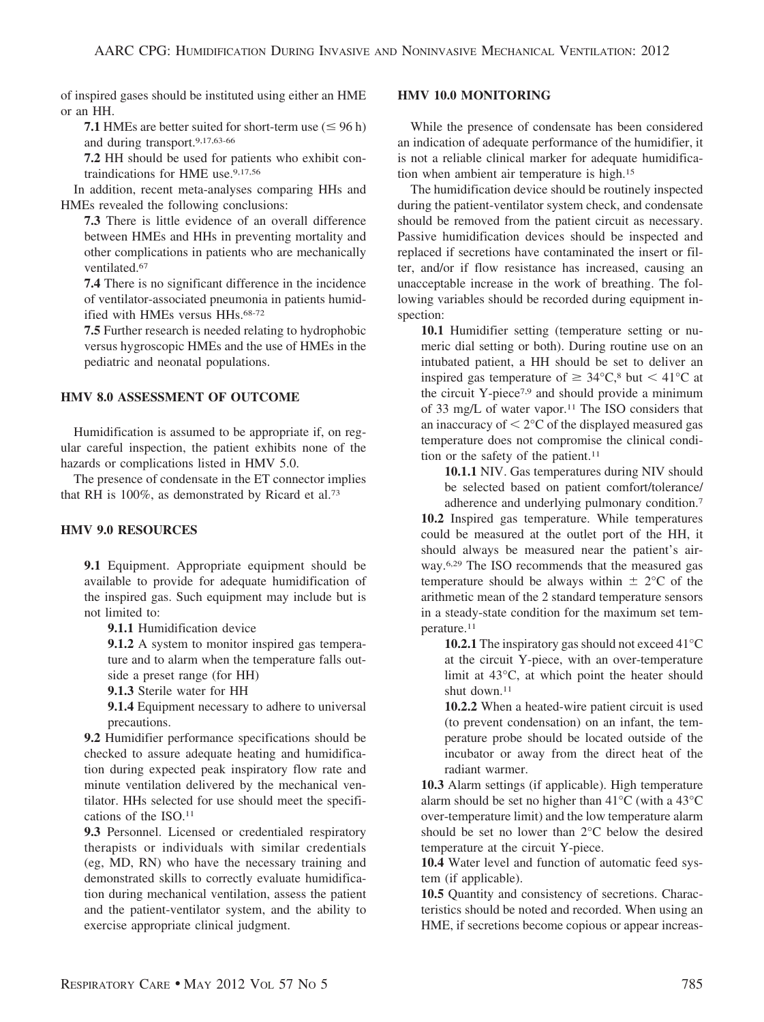of inspired gases should be instituted using either an HME or an HH.

**7.1** HMEs are better suited for short-term use  $(\leq 96 \text{ h})$ and during transport.9,17,63-66

**7.2** HH should be used for patients who exhibit contraindications for HME use.9,17,56

In addition, recent meta-analyses comparing HHs and HMEs revealed the following conclusions:

**7.3** There is little evidence of an overall difference between HMEs and HHs in preventing mortality and other complications in patients who are mechanically ventilated.67

**7.4** There is no significant difference in the incidence of ventilator-associated pneumonia in patients humidified with HMEs versus HHs.68-72

**7.5** Further research is needed relating to hydrophobic versus hygroscopic HMEs and the use of HMEs in the pediatric and neonatal populations.

## **HMV 8.0 ASSESSMENT OF OUTCOME**

Humidification is assumed to be appropriate if, on regular careful inspection, the patient exhibits none of the hazards or complications listed in HMV 5.0.

The presence of condensate in the ET connector implies that RH is 100%, as demonstrated by Ricard et al.73

### **HMV 9.0 RESOURCES**

**9.1** Equipment. Appropriate equipment should be available to provide for adequate humidification of the inspired gas. Such equipment may include but is not limited to:

**9.1.1** Humidification device

**9.1.2** A system to monitor inspired gas temperature and to alarm when the temperature falls outside a preset range (for HH)

**9.1.3** Sterile water for HH

**9.1.4** Equipment necessary to adhere to universal precautions.

**9.2** Humidifier performance specifications should be checked to assure adequate heating and humidification during expected peak inspiratory flow rate and minute ventilation delivered by the mechanical ventilator. HHs selected for use should meet the specifications of the ISO.11

**9.3** Personnel. Licensed or credentialed respiratory therapists or individuals with similar credentials (eg, MD, RN) who have the necessary training and demonstrated skills to correctly evaluate humidification during mechanical ventilation, assess the patient and the patient-ventilator system, and the ability to exercise appropriate clinical judgment.

### **HMV 10.0 MONITORING**

While the presence of condensate has been considered an indication of adequate performance of the humidifier, it is not a reliable clinical marker for adequate humidification when ambient air temperature is high.15

The humidification device should be routinely inspected during the patient-ventilator system check, and condensate should be removed from the patient circuit as necessary. Passive humidification devices should be inspected and replaced if secretions have contaminated the insert or filter, and/or if flow resistance has increased, causing an unacceptable increase in the work of breathing. The following variables should be recorded during equipment inspection:

**10.1** Humidifier setting (temperature setting or numeric dial setting or both). During routine use on an intubated patient, a HH should be set to deliver an inspired gas temperature of  $\geq 34^{\circ}C$ ,<sup>8</sup> but  $\lt 41^{\circ}C$  at the circuit Y-piece<sup>7,9</sup> and should provide a minimum of 33 mg/L of water vapor.11 The ISO considers that an inaccuracy of  $\leq 2^{\circ}$ C of the displayed measured gas temperature does not compromise the clinical condition or the safety of the patient.<sup>11</sup>

**10.1.1** NIV. Gas temperatures during NIV should be selected based on patient comfort/tolerance/

adherence and underlying pulmonary condition.7 **10.2** Inspired gas temperature. While temperatures could be measured at the outlet port of the HH, it should always be measured near the patient's airway.6,29 The ISO recommends that the measured gas temperature should be always within  $\pm 2^{\circ}$ C of the arithmetic mean of the 2 standard temperature sensors in a steady-state condition for the maximum set temperature.11

**10.2.1** The inspiratory gas should not exceed 41<sup>o</sup>C at the circuit Y-piece, with an over-temperature limit at 43°C, at which point the heater should shut down.11

**10.2.2** When a heated-wire patient circuit is used (to prevent condensation) on an infant, the temperature probe should be located outside of the incubator or away from the direct heat of the radiant warmer.

**10.3** Alarm settings (if applicable). High temperature alarm should be set no higher than 41°C (with a 43°C over-temperature limit) and the low temperature alarm should be set no lower than 2°C below the desired temperature at the circuit Y-piece.

**10.4** Water level and function of automatic feed system (if applicable).

**10.5** Quantity and consistency of secretions. Characteristics should be noted and recorded. When using an HME, if secretions become copious or appear increas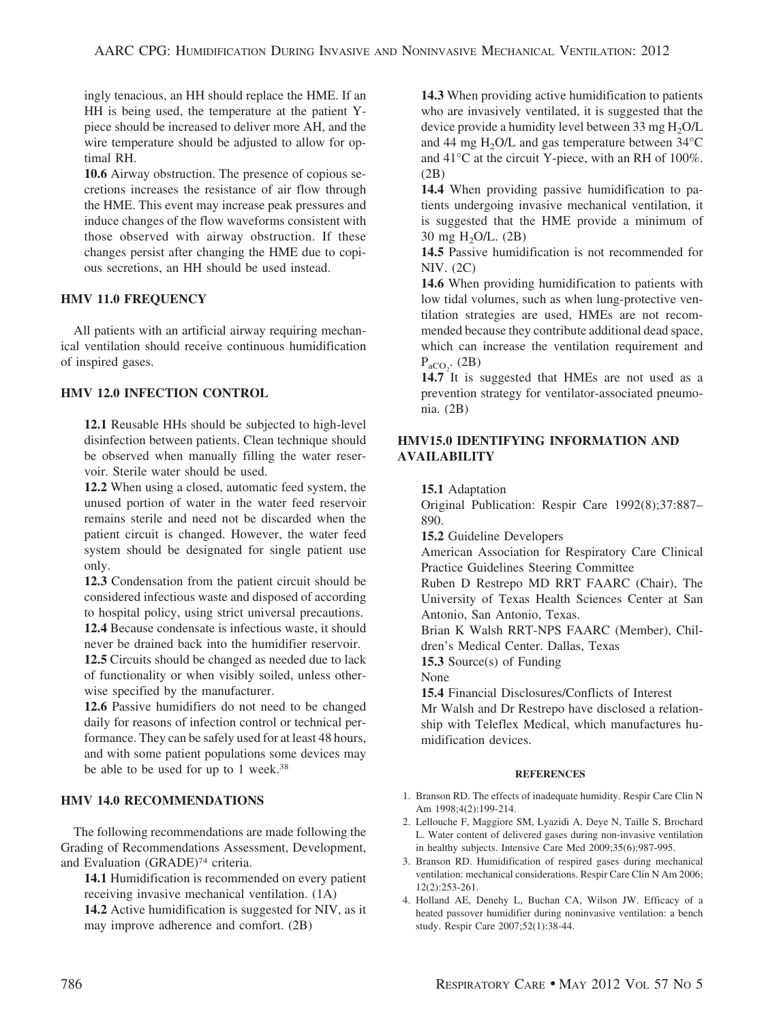ingly tenacious, an HH should replace the HME. If an HH is being used, the temperature at the patient Ypiece should be increased to deliver more AH, and the wire temperature should be adjusted to allow for optimal RH.

**10.6** Airway obstruction. The presence of copious secretions increases the resistance of air flow through the HME. This event may increase peak pressures and induce changes of the flow waveforms consistent with those observed with airway obstruction. If these changes persist after changing the HME due to copious secretions, an HH should be used instead.

# **HMV 11.0 FREQUENCY**

All patients with an artificial airway requiring mechanical ventilation should receive continuous humidification of inspired gases.

# **HMV 12.0 INFECTION CONTROL**

**12.1** Reusable HHs should be subjected to high-level disinfection between patients. Clean technique should be observed when manually filling the water reservoir. Sterile water should be used.

**12.2** When using a closed, automatic feed system, the unused portion of water in the water feed reservoir remains sterile and need not be discarded when the patient circuit is changed. However, the water feed system should be designated for single patient use only.

**12.3** Condensation from the patient circuit should be considered infectious waste and disposed of according to hospital policy, using strict universal precautions. **12.4** Because condensate is infectious waste, it should

never be drained back into the humidifier reservoir.

**12.5** Circuits should be changed as needed due to lack of functionality or when visibly soiled, unless otherwise specified by the manufacturer.

**12.6** Passive humidifiers do not need to be changed daily for reasons of infection control or technical performance. They can be safely used for at least 48 hours, and with some patient populations some devices may be able to be used for up to 1 week.<sup>38</sup>

# **HMV 14.0 RECOMMENDATIONS**

The following recommendations are made following the Grading of Recommendations Assessment, Development, and Evaluation (GRADE)74 criteria.

**14.1** Humidification is recommended on every patient receiving invasive mechanical ventilation. (1A) **14.2** Active humidification is suggested for NIV, as it may improve adherence and comfort. (2B)

**14.3** When providing active humidification to patients who are invasively ventilated, it is suggested that the device provide a humidity level between 33 mg  $H_2O/L$ and 44 mg  $H<sub>2</sub>O/L$  and gas temperature between 34 $^{\circ}$ C and 41°C at the circuit Y-piece, with an RH of 100%. (2B)

**14.4** When providing passive humidification to patients undergoing invasive mechanical ventilation, it is suggested that the HME provide a minimum of 30 mg H2O/L. (2B)

**14.5** Passive humidification is not recommended for NIV. (2C)

**14.6** When providing humidification to patients with low tidal volumes, such as when lung-protective ventilation strategies are used, HMEs are not recommended because they contribute additional dead space, which can increase the ventilation requirement and  $P_{aCO_2}$ . (2B)

**14.7** It is suggested that HMEs are not used as a prevention strategy for ventilator-associated pneumonia. (2B)

# **HMV15.0 IDENTIFYING INFORMATION AND AVAILABILITY**

**15.1** Adaptation

Original Publication: Respir Care 1992(8);37:887– 890.

**15.2** Guideline Developers

American Association for Respiratory Care Clinical Practice Guidelines Steering Committee

Ruben D Restrepo MD RRT FAARC (Chair), The University of Texas Health Sciences Center at San Antonio, San Antonio, Texas.

Brian K Walsh RRT-NPS FAARC (Member), Children's Medical Center. Dallas, Texas

**15.3** Source(s) of Funding

None

**15.4** Financial Disclosures/Conflicts of Interest Mr Walsh and Dr Restrepo have disclosed a relationship with Teleflex Medical, which manufactures humidification devices.

### **REFERENCES**

- 1. Branson RD. The effects of inadequate humidity. Respir Care Clin N Am 1998;4(2):199-214.
- 2. Lellouche F, Maggiore SM, Lyazidi A, Deye N, Taille S, Brochard L. Water content of delivered gases during non-invasive ventilation in healthy subjects. Intensive Care Med 2009;35(6):987-995.
- 3. Branson RD. Humidification of respired gases during mechanical ventilation: mechanical considerations. Respir Care Clin N Am 2006; 12(2):253-261.
- 4. Holland AE, Denehy L, Buchan CA, Wilson JW. Efficacy of a heated passover humidifier during noninvasive ventilation: a bench study. Respir Care 2007;52(1):38-44.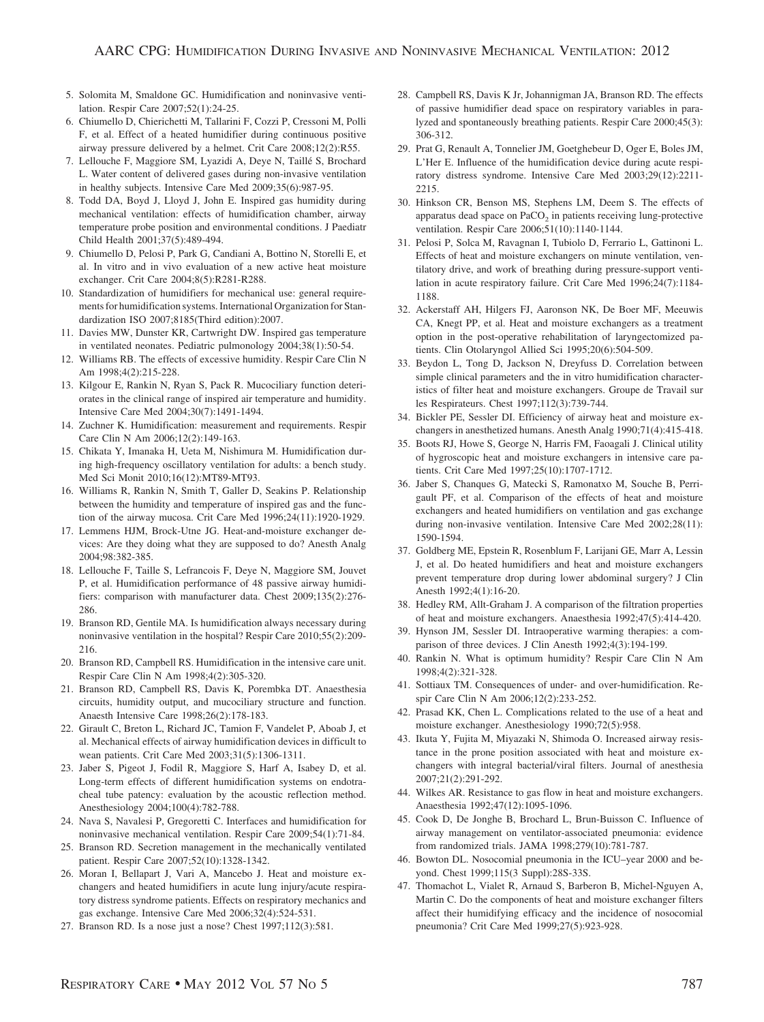- 5. Solomita M, Smaldone GC. Humidification and noninvasive ventilation. Respir Care 2007;52(1):24-25.
- 6. Chiumello D, Chierichetti M, Tallarini F, Cozzi P, Cressoni M, Polli F, et al. Effect of a heated humidifier during continuous positive airway pressure delivered by a helmet. Crit Care 2008;12(2):R55.
- 7. Lellouche F, Maggiore SM, Lyazidi A, Deye N, Taillé S, Brochard L. Water content of delivered gases during non-invasive ventilation in healthy subjects. Intensive Care Med 2009;35(6):987-95.
- 8. Todd DA, Boyd J, Lloyd J, John E. Inspired gas humidity during mechanical ventilation: effects of humidification chamber, airway temperature probe position and environmental conditions. J Paediatr Child Health 2001;37(5):489-494.
- 9. Chiumello D, Pelosi P, Park G, Candiani A, Bottino N, Storelli E, et al. In vitro and in vivo evaluation of a new active heat moisture exchanger. Crit Care 2004;8(5):R281-R288.
- 10. Standardization of humidifiers for mechanical use: general requirements for humidification systems. International Organization for Standardization ISO 2007;8185(Third edition):2007.
- 11. Davies MW, Dunster KR, Cartwright DW. Inspired gas temperature in ventilated neonates. Pediatric pulmonology 2004;38(1):50-54.
- 12. Williams RB. The effects of excessive humidity. Respir Care Clin N Am 1998;4(2):215-228.
- 13. Kilgour E, Rankin N, Ryan S, Pack R. Mucociliary function deteriorates in the clinical range of inspired air temperature and humidity. Intensive Care Med 2004;30(7):1491-1494.
- 14. Zuchner K. Humidification: measurement and requirements. Respir Care Clin N Am 2006;12(2):149-163.
- 15. Chikata Y, Imanaka H, Ueta M, Nishimura M. Humidification during high-frequency oscillatory ventilation for adults: a bench study. Med Sci Monit 2010;16(12):MT89-MT93.
- 16. Williams R, Rankin N, Smith T, Galler D, Seakins P. Relationship between the humidity and temperature of inspired gas and the function of the airway mucosa. Crit Care Med 1996;24(11):1920-1929.
- 17. Lemmens HJM, Brock-Utne JG. Heat-and-moisture exchanger devices: Are they doing what they are supposed to do? Anesth Analg 2004;98:382-385.
- 18. Lellouche F, Taille S, Lefrancois F, Deye N, Maggiore SM, Jouvet P, et al. Humidification performance of 48 passive airway humidifiers: comparison with manufacturer data. Chest 2009;135(2):276- 286.
- 19. Branson RD, Gentile MA. Is humidification always necessary during noninvasive ventilation in the hospital? Respir Care 2010;55(2):209- 216.
- 20. Branson RD, Campbell RS. Humidification in the intensive care unit. Respir Care Clin N Am 1998;4(2):305-320.
- 21. Branson RD, Campbell RS, Davis K, Porembka DT. Anaesthesia circuits, humidity output, and mucociliary structure and function. Anaesth Intensive Care 1998;26(2):178-183.
- 22. Girault C, Breton L, Richard JC, Tamion F, Vandelet P, Aboab J, et al. Mechanical effects of airway humidification devices in difficult to wean patients. Crit Care Med 2003;31(5):1306-1311.
- 23. Jaber S, Pigeot J, Fodil R, Maggiore S, Harf A, Isabey D, et al. Long-term effects of different humidification systems on endotracheal tube patency: evaluation by the acoustic reflection method. Anesthesiology 2004;100(4):782-788.
- 24. Nava S, Navalesi P, Gregoretti C. Interfaces and humidification for noninvasive mechanical ventilation. Respir Care 2009;54(1):71-84.
- 25. Branson RD. Secretion management in the mechanically ventilated patient. Respir Care 2007;52(10):1328-1342.
- 26. Moran I, Bellapart J, Vari A, Mancebo J. Heat and moisture exchangers and heated humidifiers in acute lung injury/acute respiratory distress syndrome patients. Effects on respiratory mechanics and gas exchange. Intensive Care Med 2006;32(4):524-531.
- 27. Branson RD. Is a nose just a nose? Chest 1997;112(3):581.
- 28. Campbell RS, Davis K Jr, Johannigman JA, Branson RD. The effects of passive humidifier dead space on respiratory variables in paralyzed and spontaneously breathing patients. Respir Care 2000;45(3): 306-312.
- 29. Prat G, Renault A, Tonnelier JM, Goetghebeur D, Oger E, Boles JM, L'Her E. Influence of the humidification device during acute respiratory distress syndrome. Intensive Care Med 2003;29(12):2211- 2215.
- 30. Hinkson CR, Benson MS, Stephens LM, Deem S. The effects of apparatus dead space on  $PaCO<sub>2</sub>$  in patients receiving lung-protective ventilation. Respir Care 2006;51(10):1140-1144.
- 31. Pelosi P, Solca M, Ravagnan I, Tubiolo D, Ferrario L, Gattinoni L. Effects of heat and moisture exchangers on minute ventilation, ventilatory drive, and work of breathing during pressure-support ventilation in acute respiratory failure. Crit Care Med 1996;24(7):1184- 1188.
- 32. Ackerstaff AH, Hilgers FJ, Aaronson NK, De Boer MF, Meeuwis CA, Knegt PP, et al. Heat and moisture exchangers as a treatment option in the post-operative rehabilitation of laryngectomized patients. Clin Otolaryngol Allied Sci 1995;20(6):504-509.
- 33. Beydon L, Tong D, Jackson N, Dreyfuss D. Correlation between simple clinical parameters and the in vitro humidification characteristics of filter heat and moisture exchangers. Groupe de Travail sur les Respirateurs. Chest 1997;112(3):739-744.
- 34. Bickler PE, Sessler DI. Efficiency of airway heat and moisture exchangers in anesthetized humans. Anesth Analg 1990;71(4):415-418.
- 35. Boots RJ, Howe S, George N, Harris FM, Faoagali J. Clinical utility of hygroscopic heat and moisture exchangers in intensive care patients. Crit Care Med 1997;25(10):1707-1712.
- 36. Jaber S, Chanques G, Matecki S, Ramonatxo M, Souche B, Perrigault PF, et al. Comparison of the effects of heat and moisture exchangers and heated humidifiers on ventilation and gas exchange during non-invasive ventilation. Intensive Care Med 2002;28(11): 1590-1594.
- 37. Goldberg ME, Epstein R, Rosenblum F, Larijani GE, Marr A, Lessin J, et al. Do heated humidifiers and heat and moisture exchangers prevent temperature drop during lower abdominal surgery? J Clin Anesth 1992;4(1):16-20.
- 38. Hedley RM, Allt-Graham J. A comparison of the filtration properties of heat and moisture exchangers. Anaesthesia 1992;47(5):414-420.
- 39. Hynson JM, Sessler DI. Intraoperative warming therapies: a comparison of three devices. J Clin Anesth 1992;4(3):194-199.
- 40. Rankin N. What is optimum humidity? Respir Care Clin N Am 1998;4(2):321-328.
- 41. Sottiaux TM. Consequences of under- and over-humidification. Respir Care Clin N Am 2006;12(2):233-252.
- 42. Prasad KK, Chen L. Complications related to the use of a heat and moisture exchanger. Anesthesiology 1990;72(5):958.
- 43. Ikuta Y, Fujita M, Miyazaki N, Shimoda O. Increased airway resistance in the prone position associated with heat and moisture exchangers with integral bacterial/viral filters. Journal of anesthesia 2007;21(2):291-292.
- 44. Wilkes AR. Resistance to gas flow in heat and moisture exchangers. Anaesthesia 1992;47(12):1095-1096.
- 45. Cook D, De Jonghe B, Brochard L, Brun-Buisson C. Influence of airway management on ventilator-associated pneumonia: evidence from randomized trials. JAMA 1998;279(10):781-787.
- 46. Bowton DL. Nosocomial pneumonia in the ICU–year 2000 and beyond. Chest 1999;115(3 Suppl):28S-33S.
- 47. Thomachot L, Vialet R, Arnaud S, Barberon B, Michel-Nguyen A, Martin C. Do the components of heat and moisture exchanger filters affect their humidifying efficacy and the incidence of nosocomial pneumonia? Crit Care Med 1999;27(5):923-928.